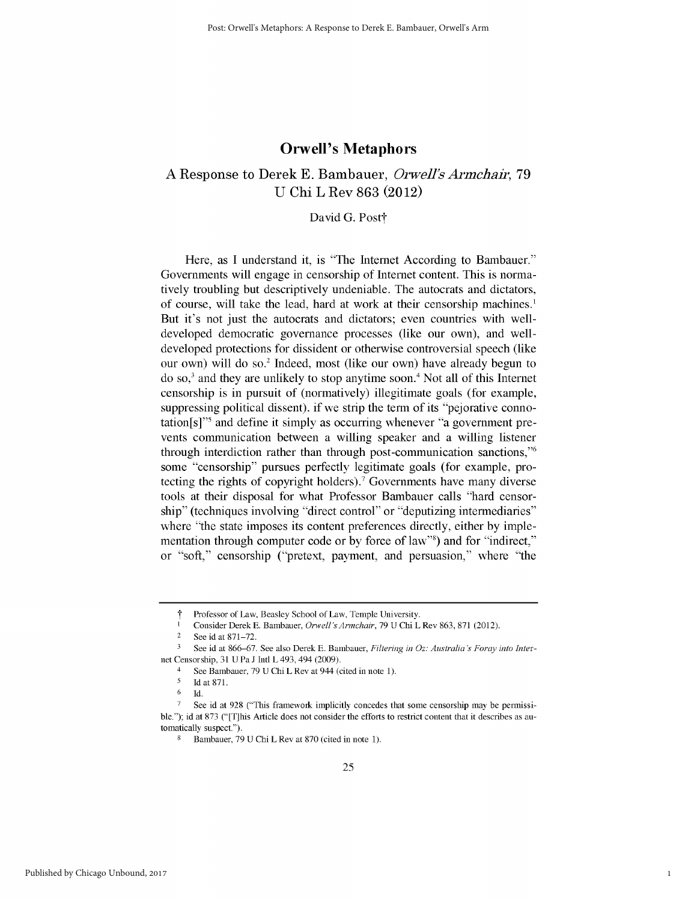## **Orwell's Metaphors**

# A Response to Derek **E.** Bambauer, *Orwell's Armchair, 79* U Chi L Rev 863 (2012)

## David G. Post†

Here, as I understand it, is "The Internet According to Bambauer." Governments will engage in censorship of Internet content. This is normatively troubling but descriptively undeniable. The autocrats and dictators, of course, will take the lead, hard at work at their censorship machines.<sup>1</sup> But it's not just the autocrats and dictators; even countries with welldeveloped democratic governance processes (like our own), and welldeveloped protections for dissident or otherwise controversial speech (like our own) will do so.' Indeed, most (like our own) have already begun to do so,3 and they are unlikely to stop anytime soon.4 Not all of this Internet censorship is in pursuit of (normatively) illegitimate goals (for example, suppressing political dissent). if we strip the term of its "pejorative connotation[s]"5 and define it simply as occurring whenever "a government prevents communication between a willing speaker and a willing listener through interdiction rather than through post-communication sanctions,"<sup>6</sup> some "censorship" pursues perfectly legitimate goals (for example, protecting the rights of copyright holders).' Governments have many diverse tools at their disposal for what Professor Bambauer calls "hard censorship" (techniques involving "direct control" or "deputizing intermediaries" where "the state imposes its content preferences directly, either by implementation through computer code or by force of law"8) and for "indirect," or "soft," censorship ("pretext, payment, and persuasion," where "the

Professor of Law, Beasley School of Law, Temple University.

I Consider Derek E. Bambauer, *Orwell'sArmchair,* 79 U Chi L Rev 863, 871 (2012).

<sup>2</sup> See id at 871-72.

**<sup>3</sup>** See id at 866-67. See also Derek E. Bambauer, *Filtering in* Oz: *Australia's Foray into Inter*net Censorship, 31 U Pa J Intl L 493,494 (2009).

<sup>&</sup>lt;sup>4</sup> See Bambauer, 79 U Chi L Rev at 944 (cited in note 1).

**<sup>5</sup>** Id at **871.**

<sup>6</sup> Id.

See id at 928 ("This framework implicitly concedes that some censorship may be permissible."); id at 873 ("[T]his Article does not consider the efforts to restrict content that it describes as automatically suspect.").

Bambauer, 79 U Chi L Rev at 870 (cited in note 1).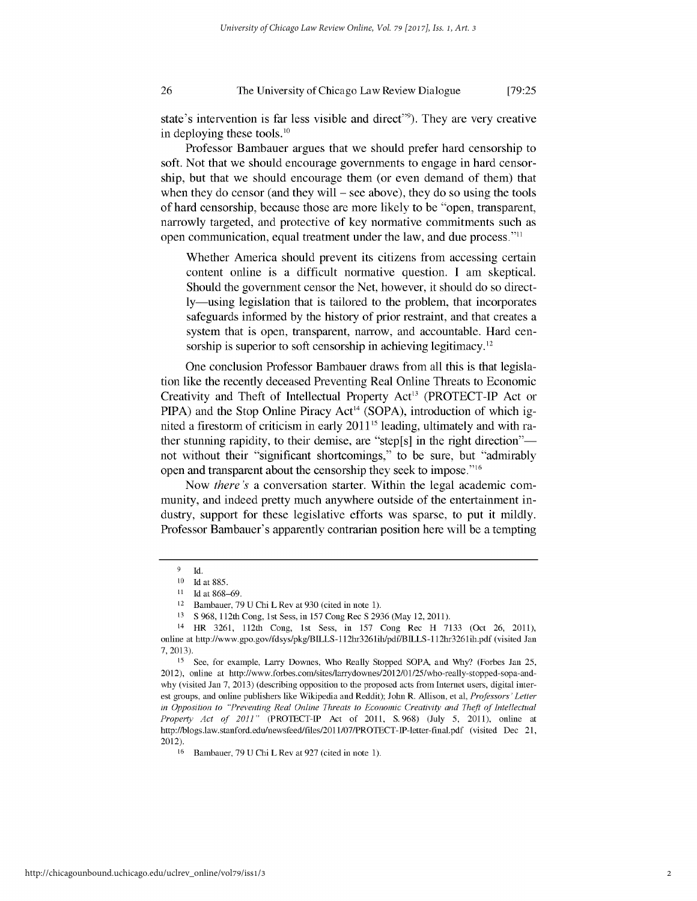#### 26 The University of Chicago Law Review Dialogue **[79:25**

state's intervention is far less visible and direct"<sup>9</sup>). They are very creative in deploying these tools.10

Professor Bambauer argues that we should prefer hard censorship to soft. Not that we should encourage governments to engage in hard censorship, but that we should encourage them (or even demand of them) that when they do censor (and they will **-** see above), they do so using the tools of hard censorship, because those are more likely to be "open, transparent, narrowly targeted, and protective of key normative commitments such as open communication, equal treatment under the law, and due process."11

Whether America should prevent its citizens from accessing certain content online is a difficult normative question. I am skeptical. Should the government censor the Net, however, it should do so directly-using legislation that is tailored to the problem, that incorporates safeguards informed by the history of prior restraint, and that creates a system that is open, transparent, narrow, and accountable. Hard censorship is superior to soft censorship in achieving legitimacy.<sup>12</sup>

One conclusion Professor Bambauer draws from all this is that legislation like the recently deceased Preventing Real Online Threats to Economic Creativity and Theft of Intellectual Property Act<sup>13</sup> (PROTECT-IP Act or  $PIPA$ ) and the Stop Online Piracy Act<sup>14</sup> (SOPA), introduction of which ignited a firestorm of criticism in early  $2011<sup>15</sup>$  leading, ultimately and with rather stunning rapidity, to their demise, are "step[s] in the right direction"not without their "significant shortcomings," to be sure, but "admirably open and transparent about the censorship they seek to impose. "16

Now *there's* a conversation starter. Within the legal academic community, and indeed pretty much anywhere outside of the entertainment industry, support for these legislative efforts was sparse, to put it mildly. Professor Bambauer's apparently contrarian position here will be a tempting

13 S 968, 112th Cong, 1st Sess, in 157 Cong Rec S 2936 (May 12, 2011).

**<sup>9</sup>** Id.

<sup>10</sup> **Idat** 885.

**<sup>11</sup>** Idat 868-69.

<sup>12</sup> Bambauer, 79 U Chi L Rev at 930 (cited in note 1).

<sup>14</sup> HR 3261, 112th Cong, 1st Sess, in 157 Cong Rec H 7133 (Oct 26, 2011), online at http://www.gpo.gov/fdsys/pkg/BILLS **- 1** 12hr326 lih/pdf/B ILLS **-1** 12hr3261 ih.pdf (visited Jan 7,2013).

<sup>15</sup> See, for example, Larry Downes, Who Really Stopped SOPA, and Why? (Forbes Jan 25, 2012), online at http://www.forbes.com/sites/larrydownes/2012/01/25/who-really-stopped-sopa-andwhy (visited Jan 7, 2013) (describing opposition to the proposed acts from Internet users, digital interest groups, and online publishers like Wikipedia and Reddit); John R. Allison, et al, *Professors' Letter in Opposition to "'Preventing Real Online Threats to Economic Creativity and Theft of Intellectual Property Act of 2011"* (PROTECT-IP Act of 2011, S.968) (July 5, 2011), online at http://blogs.law.stanford.edu/newsfeed/files/2011/07/PROTECT-IP-letter-final.pdf (visited Dec 21, 2012).

<sup>16</sup> Bambauer, 79 U Chi L Rev at 927 (cited in note 1).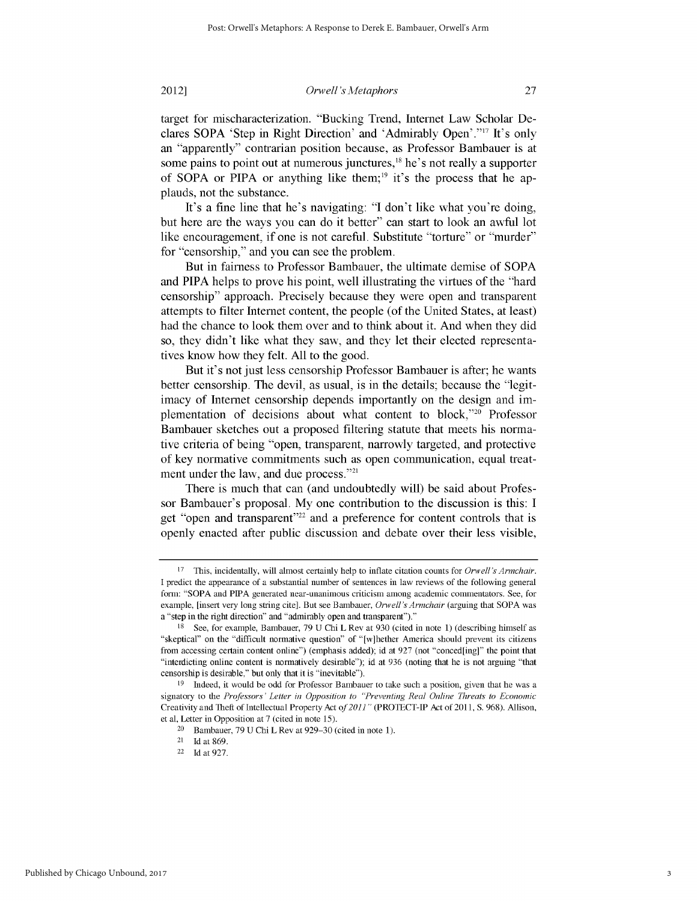### 2012]

### *Orwell's Metaphors*

target for mischaracterization. "Bucking Trend, Internet Law Scholar Declares SOPA 'Step in Right Direction' and 'Admirably Open'."17 It's only an "apparently" contrarian position because, as Professor Bambauer is at some pains to point out at numerous junctures,<sup>18</sup> he's not really a supporter of SOPA or PIPA or anything like them;<sup>19</sup> it's the process that he applauds, not the substance.

It's a fine line that he's navigating: "I don't like what you're doing, but here are the ways you can do it better" can start to look an awful lot like encouragement, if one is not careful. Substitute "torture" or "murder" for "censorship," and you can see the problem.

But in fairness to Professor Bambauer, the ultimate demise of SOPA and PIPA helps to prove his point, well illustrating the virtues of the "hard censorship" approach. Precisely because they were open and transparent attempts to filter Internet content, the people (of the United States, at least) had the chance to look them over and to think about it. And when they did so, they didn't like what they saw, and they let their elected representatives know how they felt. All to the good.

But it's not just less censorship Professor Bambauer is after; he wants better censorship. The devil, as usual, is in the details; because the "legitimacy of Internet censorship depends importantly on the design and implementation of decisions about what content to block,<sup>220</sup> Professor Bambauer sketches out a proposed filtering statute that meets his normative criteria of being "open, transparent, narrowly targeted, and protective of key normative commitments such as open communication, equal treatment under the law, and due process."<sup>21</sup>

There is much that can (and undoubtedly will) be said about Professor Bambauer's proposal. My one contribution to the discussion is this: **I** get "open and transparent"<sup>22</sup> and a preference for content controls that is openly enacted after public discussion and debate over their less visible,

**<sup>17</sup>** This, incidentally, will almost certainly help to inflate citation counts for *Orwell's Armchair.* I predict the appearance of a substantial number of sentences in law reviews of the following general form: "SOPA and PIPA generated near-unanimous criticism among academic commentators. See, for example, [insert very long string cite]. But see Bambauer, *Orwell's Armchair* (arguing that SOPA was a "step in the right direction" and "admirably open and transparent")."

**<sup>18</sup>** See, for example, Bambauer, 79 U Chi L Rev at 930 (cited in note 1) (describing himself as "skeptical" on the "difficult normative questiof' of "[w]hether America should prevent its citizens from accessing certain content online") (emphasis added); id at 927 (not "conced[ing]" the point that "interdicting online content is normatively desirable"); id at 936 (noting that he is not arguing "that censorship is desirable," but only that it is "inevitable").

<sup>19</sup> Indeed, it would be odd for Professor Bambauer to take such a position, given that he was a signatory to the *Professors' Letter in Opposition to "Preventing Real Online Threats to Economic* Creativity and Theft of Intellectual Property Act *of2011 "* (PROTECT-IP Act of 2011, S. 968). Allison, et al, Letter in Opposition at 7 (cited in note 15).

<sup>&</sup>lt;sup>20</sup> Bambauer, 79 U Chi L Rev at  $929-30$  (cited in note 1).

<sup>21</sup> Idat 869.

<sup>22</sup>**Idat** 927.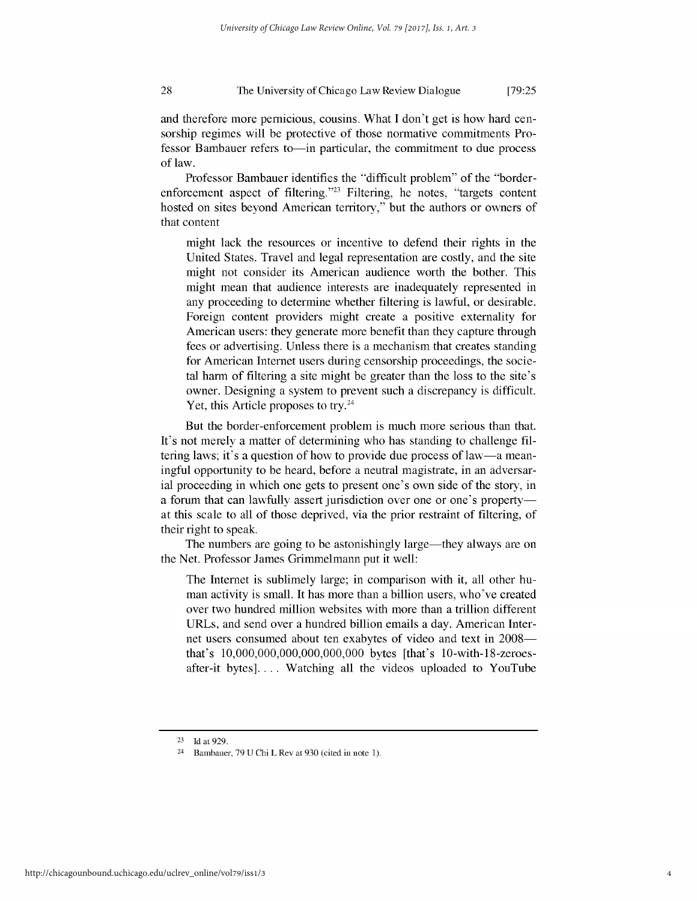#### 28 The University of Chicago Law Review Dialogue [79:25]

and therefore more pernicious, cousins. What I don't get is how hard censorship regimes will be protective of those normative commitments Professor Bambauer refers to—in particular, the commitment to due process of law.

Professor Bambauer identifies the "difficult problem" of the "borderenforcement aspect of filtering.<sup>323</sup> Filtering, he notes, "targets content hosted on sites beyond American territory," but the authors or owners of that content

might lack the resources or incentive to defend their rights in the United States. Travel and legal representation are costly, and the site might not consider its American audience worth the bother. This might mean that audience interests are inadequately represented in any proceeding to determine whether filtering is lawful, or desirable. Foreign content providers might create a positive externality for American users: they generate more benefit than they capture through fees or advertising. Unless there is a mechanism that creates standing for American Internet users during censorship proceedings, the societal harm of filtering a site might be greater than the loss to the site's owner. Designing a system to prevent such a discrepancy is difficult. Yet, this Article proposes to try.<sup>24</sup>

But the border-enforcement problem is much more serious than that. It's not merely a matter of determining who has standing to challenge filtering laws; it's a question of how to provide due process of law-a meaningful opportunity to be heard, before a neutral magistrate, in an adversarial proceeding in which one gets to present one's own side of the story, in a forum that can lawfully assert jurisdiction over one or one's propertyat this scale to all of those deprived, via the prior restraint of filtering, of their right to speak.

The numbers are going to be astonishingly large—they always are on the Net. Professor James Grimmelmann put it well:

The Internet is sublimely large; in comparison with it, all other human activity is small. It has more than a billion users, who've created over two hundred million websites with more than a trillion different URLs, and send over a hundred billion emails a day. American Internet users consumed about ten exabytes of video and text in 2008 that's 10,000,000,000,000,000,000 bytes [that's 10-with-18-zeroesafter-it bytes].... Watching all the videos uploaded to YouTube

<sup>23</sup> Idat929.

<sup>24</sup> Bambauer, 79 U Chi L Rev at 930 (cited in note 1).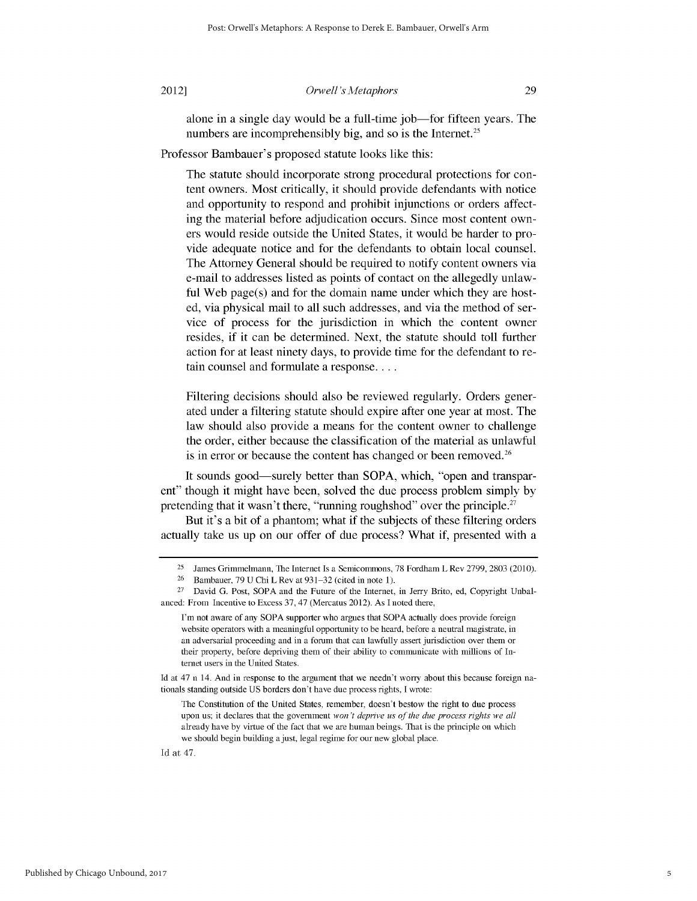2012]

### *Orwell's Metaphors*

alone in a single day would be a full-time job-for fifteen years. The numbers are incomprehensibly big, and so is the Internet.<sup>25</sup>

Professor Bambauer's proposed statute looks like this:

The statute should incorporate strong procedural protections for content owners. Most critically, it should provide defendants with notice and opportunity to respond and prohibit injunctions or orders affecting the material before adjudication occurs. Since most content owners would reside outside the United States, it would be harder to provide adequate notice and for the defendants to obtain local counsel. The Attorney General should be required to notify content owners via e-mail to addresses listed as points of contact on the allegedly unlawful Web page(s) and for the domain name under which they are hosted, via physical mail to all such addresses, and via the method of service of process for the jurisdiction in which the content owner resides, if it can be determined. Next, the statute should toll further action for at least ninety days, to provide time for the defendant to retain counsel and formulate a response....

Filtering decisions should also be reviewed regularly. Orders generated under a filtering statute should expire after one year at most. The law should also provide a means for the content owner to challenge the order, either because the classification of the material as unlawful is in error or because the content has changed or been removed.<sup>26</sup>

It sounds good—surely better than SOPA, which, "open and transparent" though it might have been, solved the due process problem simply by pretending that it wasn't there, "running roughshod" over the principle.<sup>27</sup>

But it's a bit of a phantom; what if the subjects of these filtering orders actually take us up on our offer of due process? What if, presented with a

Id at 47.

<sup>&</sup>lt;sup>25</sup> James Grimmelmann, The Internet Is a Semicommons, 78 Fordham L Rev 2799, 2803 (2010).

<sup>26</sup> Bambauer, 79 U Chi L Rev at 931-32 (cited in note 1).

**<sup>27</sup>** David G. Post, SOPA and the Future of the Internet, in Jerry Brito, ed, Copyright Unbalanced: From Incentive to Excess 37, 47 (Mercatus 2012). As I noted there,

I'm not aware of any SOPA supporter who argues that SOPA actually does provide foreign website operators with a meaningful opportunity to be heard, before a neutral magistrate, in an adversarial proceeding and in a forum that can lawfully assert jurisdiction over them or their property, before depriving them of their ability to communicate with millions of Internet users in the United States.

Id at 47 n 14. And in response to the argument that we needn't wony about this because foreign nationals standing outside US borders don't have due process rights, I wrote:

The Constitution of the United States, remember, doesn't bestow the right to due process upon us; it declares that the government *won't deprive us of the due process rights we all* already have by virtue of the fact that we are human beings. That is the principle on which we should begin building a just, legal regime for our new global place.